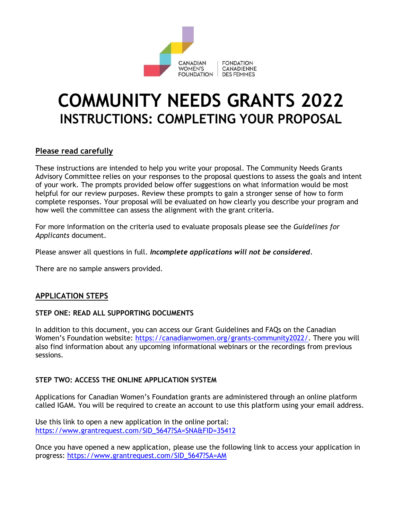

# **COMMUNITY NEEDS GRANTS 2022 INSTRUCTIONS: COMPLETING YOUR PROPOSAL**

#### **Please read carefully**

These instructions are intended to help you write your proposal. The Community Needs Grants Advisory Committee relies on your responses to the proposal questions to assess the goals and intent of your work. The prompts provided below offer suggestions on what information would be most helpful for our review purposes. Review these prompts to gain a stronger sense of how to form complete responses. Your proposal will be evaluated on how clearly you describe your program and how well the committee can assess the alignment with the grant criteria.

For more information on the criteria used to evaluate proposals please see the *Guidelines for Applicants* document.

Please answer all questions in full. *Incomplete applications will not be considered.*

There are no sample answers provided.

#### **APPLICATION STEPS**

#### **STEP ONE: READ ALL SUPPORTING DOCUMENTS**

In addition to this document, you can access our Grant Guidelines and FAQs on the Canadian Women's Foundation website: [https://canadianwomen.org/grants-community2022/.](https://canadianwomen.org/grants-community2022/) There you will also find information about any upcoming informational webinars or the recordings from previous sessions.

#### **STEP TWO: ACCESS THE ONLINE APPLICATION SYSTEM**

Applications for Canadian Women's Foundation grants are administered through an online platform called IGAM. You will be required to create an account to use this platform using your email address.

Use this link to open a new application in the online portal: [https://www.grantrequest.com/SID\\_5647?SA=SNA&FID=35412](https://www.grantrequest.com/SID_5647?SA=SNA&FID=35412)

Once you have opened a new application, please use the following link to access your application in progress: [https://www.grantrequest.com/SID\\_5647?SA=AM](https://www.grantrequest.com/SID_5647?SA=AM)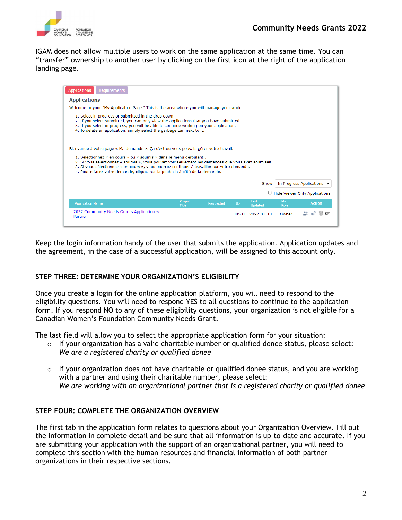

IGAM does not allow multiple users to work on the same application at the same time. You can "transfer" ownership to another user by clicking on the first icon at the right of the application landing page.

| <b>Requirements</b><br><b>Applications</b>                                                                                                                                                                                                                                                                                                                                                                                                       |                  |                  |    |                        |            |                                      |
|--------------------------------------------------------------------------------------------------------------------------------------------------------------------------------------------------------------------------------------------------------------------------------------------------------------------------------------------------------------------------------------------------------------------------------------------------|------------------|------------------|----|------------------------|------------|--------------------------------------|
| <b>Applications</b>                                                                                                                                                                                                                                                                                                                                                                                                                              |                  |                  |    |                        |            |                                      |
| Welcome to your "My Application Page." This is the area where you will manage your work.                                                                                                                                                                                                                                                                                                                                                         |                  |                  |    |                        |            |                                      |
| 1. Select in progress or submitted in the drop down.<br>2. If you select submitted, you can only view the applications that you have submitted.<br>3. If you select in progress, you will be able to continue working on your application.<br>4. To delete an application, simply select the garbage can next to it.                                                                                                                             |                  |                  |    |                        |            |                                      |
| Bienvenue à votre page « Ma demande ». Ça c'est ou vous pouvais gérer votre travail.<br>1. Sélectionnez « en cours » ou « soumis » dans le menu déroulant<br>2. Si vous sélectionnez « soumis », vous pouvez voir seulement les demandes que vous avez soumises.<br>3. Si vous sélectionnez « en cours », vous pourrez continuer à travailler sur votre demande.<br>4. Pour effacer votre demande, cliquez sur la poubelle à côté de la demande. |                  |                  |    |                        |            |                                      |
|                                                                                                                                                                                                                                                                                                                                                                                                                                                  |                  |                  |    | Show                   |            | In Progress Applications V           |
|                                                                                                                                                                                                                                                                                                                                                                                                                                                  |                  |                  |    |                        |            | $\Box$ Hide Viewer Only Applications |
| <b>Application Name</b>                                                                                                                                                                                                                                                                                                                                                                                                                          | Project<br>Title | <b>Requested</b> | ID | Last<br><b>Updated</b> | My<br>Role | <b>Action</b>                        |
| 2022 Community Needs Grants Application w<br>Partner                                                                                                                                                                                                                                                                                                                                                                                             |                  |                  |    | 38501 2022-01-13       | Owner      |                                      |

Keep the login information handy of the user that submits the application. Application updates and the agreement, in the case of a successful application, will be assigned to this account only.

#### **STEP THREE: DETERMINE YOUR ORGANIZATION'S ELIGIBILITY**

Once you create a login for the online application platform, you will need to respond to the eligibility questions. You will need to respond YES to all questions to continue to the application form. If you respond NO to any of these eligibility questions, your organization is not eligible for a Canadian Women's Foundation Community Needs Grant.

The last field will allow you to select the appropriate application form for your situation:

- $\circ$  If your organization has a valid charitable number or qualified donee status, please select: *We are a registered charity or qualified donee*
- $\circ$  If your organization does not have charitable or qualified donee status, and you are working with a partner and using their charitable number, please select: *We are working with an organizational partner that is a registered charity or qualified donee*

#### **STEP FOUR: COMPLETE THE ORGANIZATION OVERVIEW**

The first tab in the application form relates to questions about your Organization Overview. Fill out the information in complete detail and be sure that all information is up-to-date and accurate. If you are submitting your application with the support of an organizational partner, you will need to complete this section with the human resources and financial information of both partner organizations in their respective sections.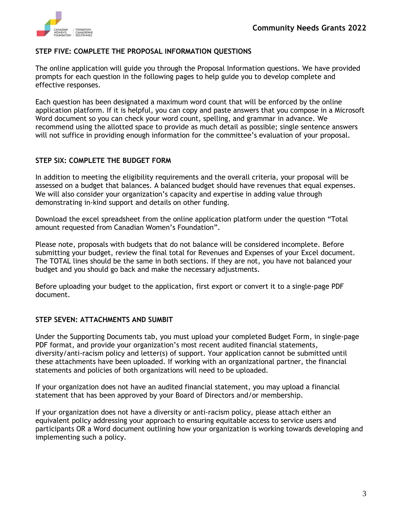

#### **STEP FIVE: COMPLETE THE PROPOSAL INFORMATION QUESTIONS**

The online application will guide you through the Proposal Information questions. We have provided prompts for each question in the following pages to help guide you to develop complete and effective responses.

Each question has been designated a maximum word count that will be enforced by the online application platform. If it is helpful, you can copy and paste answers that you compose in a Microsoft Word document so you can check your word count, spelling, and grammar in advance. We recommend using the allotted space to provide as much detail as possible; single sentence answers will not suffice in providing enough information for the committee's evaluation of your proposal.

#### **STEP SIX: COMPLETE THE BUDGET FORM**

In addition to meeting the eligibility requirements and the overall criteria, your proposal will be assessed on a budget that balances. A balanced budget should have revenues that equal expenses. We will also consider your organization's capacity and expertise in adding value through demonstrating in-kind support and details on other funding.

Download the excel spreadsheet from the online application platform under the question "Total amount requested from Canadian Women's Foundation".

Please note, proposals with budgets that do not balance will be considered incomplete. Before submitting your budget, review the final total for Revenues and Expenses of your Excel document. The TOTAL lines should be the same in both sections. If they are not, you have not balanced your budget and you should go back and make the necessary adjustments.

Before uploading your budget to the application, first export or convert it to a single-page PDF document.

#### **STEP SEVEN: ATTACHMENTS AND SUMBIT**

Under the Supporting Documents tab, you must upload your completed Budget Form, in single-page PDF format, and provide your organization's most recent audited financial statements, diversity/anti-racism policy and letter(s) of support. Your application cannot be submitted until these attachments have been uploaded. If working with an organizational partner, the financial statements and policies of both organizations will need to be uploaded.

If your organization does not have an audited financial statement, you may upload a financial statement that has been approved by your Board of Directors and/or membership.

If your organization does not have a diversity or anti-racism policy, please attach either an equivalent policy addressing your approach to ensuring equitable access to service users and participants OR a Word document outlining how your organization is working towards developing and implementing such a policy.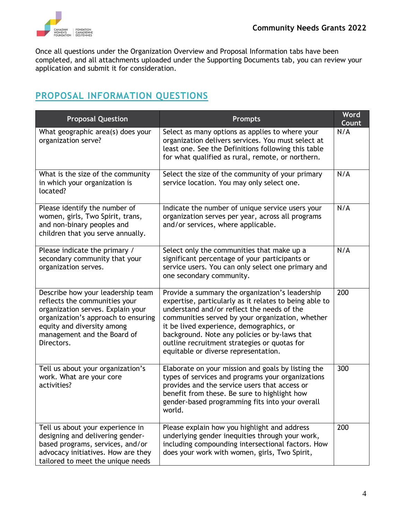

Once all questions under the Organization Overview and Proposal Information tabs have been completed, and all attachments uploaded under the Supporting Documents tab, you can review your application and submit it for consideration.

## **PROPOSAL INFORMATION QUESTIONS**

| <b>Proposal Question</b>                                                                                                                                                                                                  | <b>Prompts</b>                                                                                                                                                                                                                                                                                                                                                                                   | Word<br>Count |
|---------------------------------------------------------------------------------------------------------------------------------------------------------------------------------------------------------------------------|--------------------------------------------------------------------------------------------------------------------------------------------------------------------------------------------------------------------------------------------------------------------------------------------------------------------------------------------------------------------------------------------------|---------------|
| What geographic area(s) does your<br>organization serve?                                                                                                                                                                  | Select as many options as applies to where your<br>organization delivers services. You must select at<br>least one. See the Definitions following this table<br>for what qualified as rural, remote, or northern.                                                                                                                                                                                | N/A           |
| What is the size of the community<br>in which your organization is<br>located?                                                                                                                                            | Select the size of the community of your primary<br>service location. You may only select one.                                                                                                                                                                                                                                                                                                   | N/A           |
| Please identify the number of<br>women, girls, Two Spirit, trans,<br>and non-binary peoples and<br>children that you serve annually.                                                                                      | Indicate the number of unique service users your<br>organization serves per year, across all programs<br>and/or services, where applicable.                                                                                                                                                                                                                                                      | N/A           |
| Please indicate the primary /<br>secondary community that your<br>organization serves.                                                                                                                                    | Select only the communities that make up a<br>significant percentage of your participants or<br>service users. You can only select one primary and<br>one secondary community.                                                                                                                                                                                                                   | N/A           |
| Describe how your leadership team<br>reflects the communities your<br>organization serves. Explain your<br>organization's approach to ensuring<br>equity and diversity among<br>management and the Board of<br>Directors. | Provide a summary the organization's leadership<br>expertise, particularly as it relates to being able to<br>understand and/or reflect the needs of the<br>communities served by your organization, whether<br>it be lived experience, demographics, or<br>background. Note any policies or by-laws that<br>outline recruitment strategies or quotas for<br>equitable or diverse representation. | 200           |
| Tell us about your organization's<br>work. What are your core<br>activities?                                                                                                                                              | Elaborate on your mission and goals by listing the<br>types of services and programs your organizations<br>provides and the service users that access or<br>benefit from these. Be sure to highlight how<br>gender-based programming fits into your overall<br>world.                                                                                                                            | 300           |
| Tell us about your experience in<br>designing and delivering gender-<br>based programs, services, and/or<br>advocacy initiatives. How are they<br>tailored to meet the unique needs                                       | Please explain how you highlight and address<br>underlying gender inequities through your work,<br>including compounding intersectional factors. How<br>does your work with women, girls, Two Spirit,                                                                                                                                                                                            | 200           |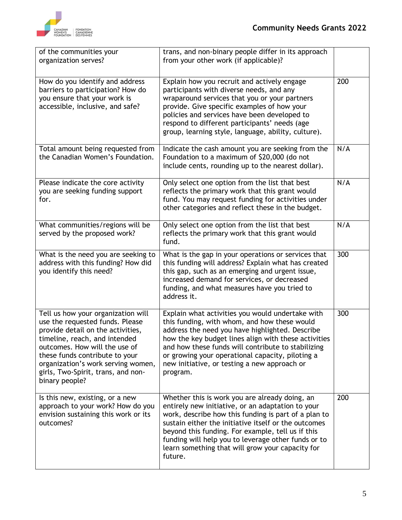

| of the communities your<br>organization serves?                                                                                                                                                                                                                                                              | trans, and non-binary people differ in its approach<br>from your other work (if applicable)?                                                                                                                                                                                                                                                                                                   |     |
|--------------------------------------------------------------------------------------------------------------------------------------------------------------------------------------------------------------------------------------------------------------------------------------------------------------|------------------------------------------------------------------------------------------------------------------------------------------------------------------------------------------------------------------------------------------------------------------------------------------------------------------------------------------------------------------------------------------------|-----|
| How do you identify and address<br>barriers to participation? How do<br>you ensure that your work is<br>accessible, inclusive, and safe?                                                                                                                                                                     | Explain how you recruit and actively engage<br>participants with diverse needs, and any<br>wraparound services that you or your partners<br>provide. Give specific examples of how your<br>policies and services have been developed to<br>respond to different participants' needs (age<br>group, learning style, language, ability, culture).                                                | 200 |
| Total amount being requested from<br>the Canadian Women's Foundation.                                                                                                                                                                                                                                        | Indicate the cash amount you are seeking from the<br>Foundation to a maximum of \$20,000 (do not<br>include cents, rounding up to the nearest dollar).                                                                                                                                                                                                                                         | N/A |
| Please indicate the core activity<br>you are seeking funding support<br>for.                                                                                                                                                                                                                                 | Only select one option from the list that best<br>reflects the primary work that this grant would<br>fund. You may request funding for activities under<br>other categories and reflect these in the budget.                                                                                                                                                                                   | N/A |
| What communities/regions will be<br>served by the proposed work?                                                                                                                                                                                                                                             | Only select one option from the list that best<br>reflects the primary work that this grant would<br>fund.                                                                                                                                                                                                                                                                                     | N/A |
| What is the need you are seeking to<br>address with this funding? How did<br>you identify this need?                                                                                                                                                                                                         | What is the gap in your operations or services that<br>this funding will address? Explain what has created<br>this gap, such as an emerging and urgent issue,<br>increased demand for services, or decreased<br>funding, and what measures have you tried to<br>address it.                                                                                                                    | 300 |
| Tell us how your organization will<br>use the requested funds. Please<br>provide detail on the activities,<br>timeline, reach, and intended<br>outcomes. How will the use of<br>these funds contribute to your<br>organization's work serving women,<br>girls, Two-Spirit, trans, and non-<br>binary people? | Explain what activities you would undertake with<br>this funding, with whom, and how these would<br>address the need you have highlighted. Describe<br>how the key budget lines align with these activities<br>and how these funds will contribute to stabilizing<br>or growing your operational capacity, piloting a<br>new initiative, or testing a new approach or<br>program.              | 300 |
| Is this new, existing, or a new<br>approach to your work? How do you<br>envision sustaining this work or its<br>outcomes?                                                                                                                                                                                    | Whether this is work you are already doing, an<br>entirely new initiative, or an adaptation to your<br>work, describe how this funding is part of a plan to<br>sustain either the initiative itself or the outcomes<br>beyond this funding. For example, tell us if this<br>funding will help you to leverage other funds or to<br>learn something that will grow your capacity for<br>future. | 200 |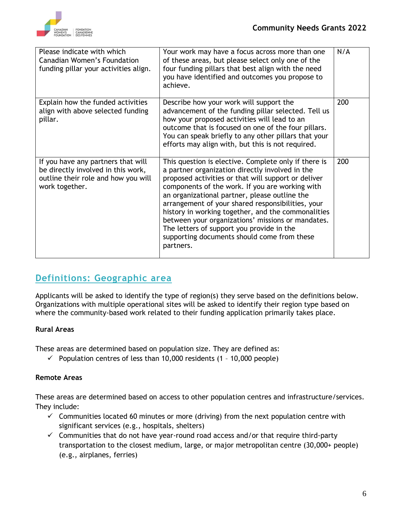

| Please indicate with which<br>Canadian Women's Foundation<br>funding pillar your activities align.                                | Your work may have a focus across more than one<br>of these areas, but please select only one of the<br>four funding pillars that best align with the need<br>you have identified and outcomes you propose to<br>achieve.                                                                                                                                                                                                                                                                                                                   | N/A |
|-----------------------------------------------------------------------------------------------------------------------------------|---------------------------------------------------------------------------------------------------------------------------------------------------------------------------------------------------------------------------------------------------------------------------------------------------------------------------------------------------------------------------------------------------------------------------------------------------------------------------------------------------------------------------------------------|-----|
| Explain how the funded activities<br>align with above selected funding<br>pillar.                                                 | Describe how your work will support the<br>advancement of the funding pillar selected. Tell us<br>how your proposed activities will lead to an<br>outcome that is focused on one of the four pillars.<br>You can speak briefly to any other pillars that your<br>efforts may align with, but this is not required.                                                                                                                                                                                                                          | 200 |
| If you have any partners that will<br>be directly involved in this work,<br>outline their role and how you will<br>work together. | This question is elective. Complete only if there is<br>a partner organization directly involved in the<br>proposed activities or that will support or deliver<br>components of the work. If you are working with<br>an organizational partner, please outline the<br>arrangement of your shared responsibilities, your<br>history in working together, and the commonalities<br>between your organizations' missions or mandates.<br>The letters of support you provide in the<br>supporting documents should come from these<br>partners. | 200 |

## **Definitions: Geographic area**

Applicants will be asked to identify the type of region(s) they serve based on the definitions below. Organizations with multiple operational sites will be asked to identify their region type based on where the community-based work related to their funding application primarily takes place.

#### **Rural Areas**

These areas are determined based on population size. They are defined as:

 $\checkmark$  Population centres of less than 10,000 residents (1 - 10,000 people)

#### **Remote Areas**

These areas are determined based on access to other population centres and infrastructure/services. They include:

- $\checkmark$  Communities located 60 minutes or more (driving) from the next population centre with significant services (e.g., hospitals, shelters)
- $\checkmark$  Communities that do not have year-round road access and/or that require third-party transportation to the closest medium, large, or major metropolitan centre (30,000+ people) (e.g., airplanes, ferries)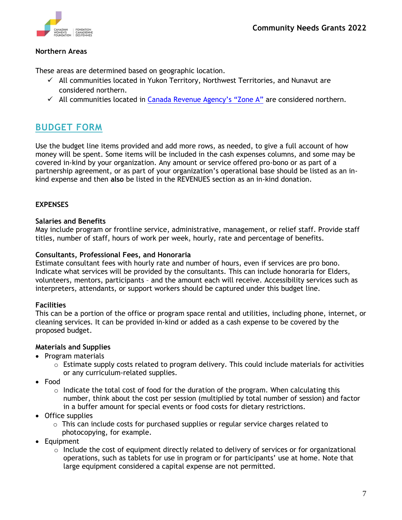

#### **Northern Areas**

These areas are determined based on geographic location.

- ✓ All communities located in Yukon Territory, Northwest Territories, and Nunavut are considered northern.
- $\checkmark$  All communities located in [Canada Revenue Agency's "Zone A"](https://www.canada.ca/en/revenue-agency/services/tax/individuals/topics/about-your-tax-return/tax-return/completing-a-tax-return/deductions-credits-expenses/line-25500-northern-residents-deductions/line-25500-places-located-prescribed-zones.html) are considered northern.

### **BUDGET FORM**

Use the budget line items provided and add more rows, as needed, to give a full account of how money will be spent. Some items will be included in the cash expenses columns, and some may be covered in-kind by your organization. Any amount or service offered pro-bono or as part of a partnership agreement, or as part of your organization's operational base should be listed as an inkind expense and then **also** be listed in the REVENUES section as an in-kind donation.

#### **EXPENSES**

#### **Salaries and Benefits**

May include program or frontline service, administrative, management, or relief staff. Provide staff titles, number of staff, hours of work per week, hourly, rate and percentage of benefits.

#### **Consultants, Professional Fees, and Honoraria**

Estimate consultant fees with hourly rate and number of hours, even if services are pro bono. Indicate what services will be provided by the consultants. This can include honoraria for Elders, volunteers, mentors, participants – and the amount each will receive. Accessibility services such as interpreters, attendants, or support workers should be captured under this budget line.

#### **Facilities**

This can be a portion of the office or program space rental and utilities, including phone, internet, or cleaning services. It can be provided in-kind or added as a cash expense to be covered by the proposed budget.

#### **Materials and Supplies**

- Program materials
	- $\circ$  Estimate supply costs related to program delivery. This could include materials for activities or any curriculum-related supplies.
- Food
	- $\circ$  Indicate the total cost of food for the duration of the program. When calculating this number, think about the cost per session (multiplied by total number of session) and factor in a buffer amount for special events or food costs for dietary restrictions.
- Office supplies
	- $\circ$  This can include costs for purchased supplies or regular service charges related to
	- photocopying, for example.
- Equipment
	- $\circ$  Include the cost of equipment directly related to delivery of services or for organizational operations, such as tablets for use in program or for participants' use at home. Note that large equipment considered a capital expense are not permitted.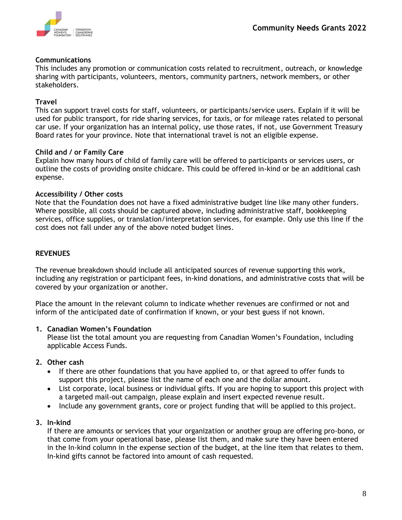#### **Communications**

This includes any promotion or communication costs related to recruitment, outreach, or knowledge sharing with participants, volunteers, mentors, community partners, network members, or other stakeholders.

#### **Travel**

This can support travel costs for staff, volunteers, or participants/service users. Explain if it will be used for public transport, for ride sharing services, for taxis, or for mileage rates related to personal car use. If your organization has an internal policy, use those rates, if not, use Government Treasury Board rates for your province. Note that international travel is not an eligible expense.

#### **Child and / or Family Care**

Explain how many hours of child of family care will be offered to participants or services users, or outline the costs of providing onsite chidcare. This could be offered in-kind or be an additional cash expense.

#### **Accessibility / Other costs**

Note that the Foundation does not have a fixed administrative budget line like many other funders. Where possible, all costs should be captured above, including administrative staff, bookkeeping services, office supplies, or translation/interpretation services, for example. Only use this line if the cost does not fall under any of the above noted budget lines.

#### **REVENUES**

The revenue breakdown should include all anticipated sources of revenue supporting this work, including any registration or participant fees, in-kind donations, and administrative costs that will be covered by your organization or another.

Place the amount in the relevant column to indicate whether revenues are confirmed or not and inform of the anticipated date of confirmation if known, or your best guess if not known.

#### **1. Canadian Women's Foundation**

Please list the total amount you are requesting from Canadian Women's Foundation, including applicable Access Funds.

#### **2. Other cash**

- If there are other foundations that you have applied to, or that agreed to offer funds to support this project, please list the name of each one and the dollar amount.
- List corporate, local business or individual gifts. If you are hoping to support this project with a targeted mail-out campaign, please explain and insert expected revenue result.
- Include any government grants, core or project funding that will be applied to this project.

#### **3. In-kind**

If there are amounts or services that your organization or another group are offering pro-bono, or that come from your operational base, please list them, and make sure they have been entered in the In-kind column in the expense section of the budget, at the line item that relates to them. In-kind gifts cannot be factored into amount of cash requested.